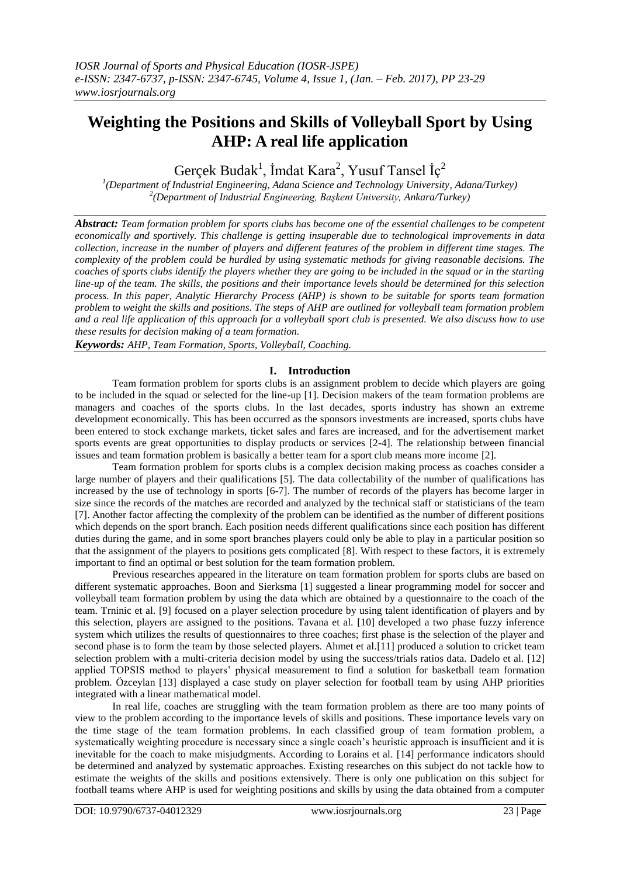# **Weighting the Positions and Skills of Volleyball Sport by Using AHP: A real life application**

Gerçek Budak<sup>1</sup>, İmdat Kara<sup>2</sup>, Yusuf Tansel İç<sup>2</sup>

*1 (Department of Industrial Engineering, Adana Science and Technology University, Adana/Turkey) 2 (Department of Industrial Engineering, Başkent University, Ankara/Turkey)*

*Abstract: Team formation problem for sports clubs has become one of the essential challenges to be competent economically and sportively. This challenge is getting insuperable due to technological improvements in data collection, increase in the number of players and different features of the problem in different time stages. The complexity of the problem could be hurdled by using systematic methods for giving reasonable decisions. The coaches of sports clubs identify the players whether they are going to be included in the squad or in the starting line-up of the team. The skills, the positions and their importance levels should be determined for this selection process. In this paper, Analytic Hierarchy Process (AHP) is shown to be suitable for sports team formation problem to weight the skills and positions. The steps of AHP are outlined for volleyball team formation problem and a real life application of this approach for a volleyball sport club is presented. We also discuss how to use these results for decision making of a team formation.*

*Keywords: AHP, Team Formation, Sports, Volleyball, Coaching.*

# **I. Introduction**

Team formation problem for sports clubs is an assignment problem to decide which players are going to be included in the squad or selected for the line-up [1]. Decision makers of the team formation problems are managers and coaches of the sports clubs. In the last decades, sports industry has shown an extreme development economically. This has been occurred as the sponsors investments are increased, sports clubs have been entered to stock exchange markets, ticket sales and fares are increased, and for the advertisement market sports events are great opportunities to display products or services [2-4]. The relationship between financial issues and team formation problem is basically a better team for a sport club means more income [2].

Team formation problem for sports clubs is a complex decision making process as coaches consider a large number of players and their qualifications [5]. The data collectability of the number of qualifications has increased by the use of technology in sports [6-7]. The number of records of the players has become larger in size since the records of the matches are recorded and analyzed by the technical staff or statisticians of the team [7]. Another factor affecting the complexity of the problem can be identified as the number of different positions which depends on the sport branch. Each position needs different qualifications since each position has different duties during the game, and in some sport branches players could only be able to play in a particular position so that the assignment of the players to positions gets complicated [8]. With respect to these factors, it is extremely important to find an optimal or best solution for the team formation problem.

Previous researches appeared in the literature on team formation problem for sports clubs are based on different systematic approaches. Boon and Sierksma [1] suggested a linear programming model for soccer and volleyball team formation problem by using the data which are obtained by a questionnaire to the coach of the team. Trninic et al. [9] focused on a player selection procedure by using talent identification of players and by this selection, players are assigned to the positions. Tavana et al. [10] developed a two phase fuzzy inference system which utilizes the results of questionnaires to three coaches; first phase is the selection of the player and second phase is to form the team by those selected players. Ahmet et al.[11] produced a solution to cricket team selection problem with a multi-criteria decision model by using the success/trials ratios data. Dadelo et al. [12] applied TOPSIS method to players' physical measurement to find a solution for basketball team formation problem. Özceylan [13] displayed a case study on player selection for football team by using AHP priorities integrated with a linear mathematical model.

In real life, coaches are struggling with the team formation problem as there are too many points of view to the problem according to the importance levels of skills and positions. These importance levels vary on the time stage of the team formation problems. In each classified group of team formation problem, a systematically weighting procedure is necessary since a single coach's heuristic approach is insufficient and it is inevitable for the coach to make misjudgments. According to Lorains et al. [14] performance indicators should be determined and analyzed by systematic approaches. Existing researches on this subject do not tackle how to estimate the weights of the skills and positions extensively. There is only one publication on this subject for football teams where AHP is used for weighting positions and skills by using the data obtained from a computer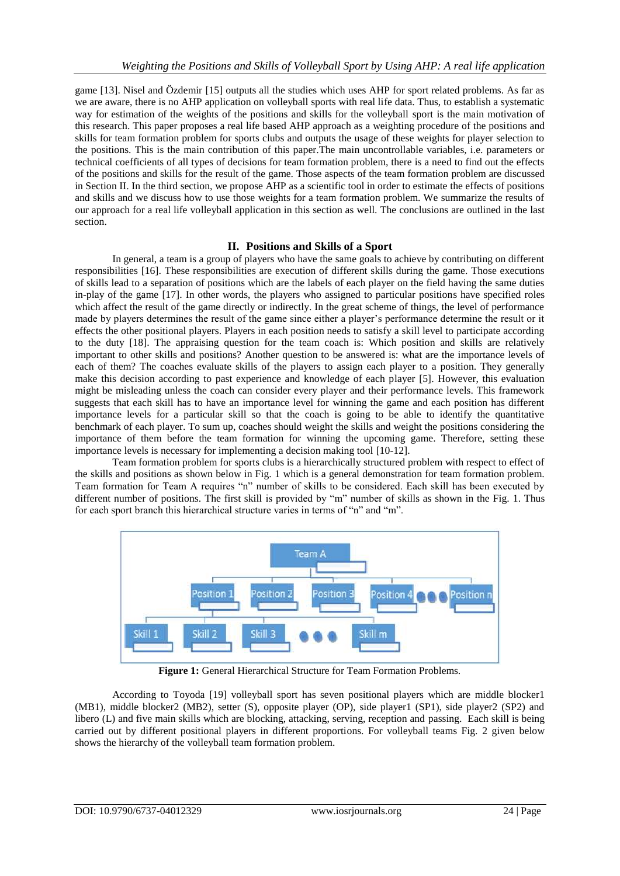game [13]. Nisel and Özdemir [15] outputs all the studies which uses AHP for sport related problems. As far as we are aware, there is no AHP application on volleyball sports with real life data. Thus, to establish a systematic way for estimation of the weights of the positions and skills for the volleyball sport is the main motivation of this research. This paper proposes a real life based AHP approach as a weighting procedure of the positions and skills for team formation problem for sports clubs and outputs the usage of these weights for player selection to the positions. This is the main contribution of this paper.The main uncontrollable variables, i.e. parameters or technical coefficients of all types of decisions for team formation problem, there is a need to find out the effects of the positions and skills for the result of the game. Those aspects of the team formation problem are discussed in Section II. In the third section, we propose AHP as a scientific tool in order to estimate the effects of positions and skills and we discuss how to use those weights for a team formation problem. We summarize the results of our approach for a real life volleyball application in this section as well. The conclusions are outlined in the last section.

# **II. Positions and Skills of a Sport**

In general, a team is a group of players who have the same goals to achieve by contributing on different responsibilities [16]. These responsibilities are execution of different skills during the game. Those executions of skills lead to a separation of positions which are the labels of each player on the field having the same duties in-play of the game [17]. In other words, the players who assigned to particular positions have specified roles which affect the result of the game directly or indirectly. In the great scheme of things, the level of performance made by players determines the result of the game since either a player's performance determine the result or it effects the other positional players. Players in each position needs to satisfy a skill level to participate according to the duty [18]. The appraising question for the team coach is: Which position and skills are relatively important to other skills and positions? Another question to be answered is: what are the importance levels of each of them? The coaches evaluate skills of the players to assign each player to a position. They generally make this decision according to past experience and knowledge of each player [5]. However, this evaluation might be misleading unless the coach can consider every player and their performance levels. This framework suggests that each skill has to have an importance level for winning the game and each position has different importance levels for a particular skill so that the coach is going to be able to identify the quantitative benchmark of each player. To sum up, coaches should weight the skills and weight the positions considering the importance of them before the team formation for winning the upcoming game. Therefore, setting these importance levels is necessary for implementing a decision making tool [10-12].

Team formation problem for sports clubs is a hierarchically structured problem with respect to effect of the skills and positions as shown below in Fig. 1 which is a general demonstration for team formation problem. Team formation for Team A requires "n" number of skills to be considered. Each skill has been executed by different number of positions. The first skill is provided by "m" number of skills as shown in the Fig. 1. Thus for each sport branch this hierarchical structure varies in terms of "n" and "m".



**Figure 1:** General Hierarchical Structure for Team Formation Problems.

According to Toyoda [19] volleyball sport has seven positional players which are middle blocker1 (MB1), middle blocker2 (MB2), setter (S), opposite player (OP), side player1 (SP1), side player2 (SP2) and libero (L) and five main skills which are blocking, attacking, serving, reception and passing. Each skill is being carried out by different positional players in different proportions. For volleyball teams Fig. 2 given below shows the hierarchy of the volleyball team formation problem.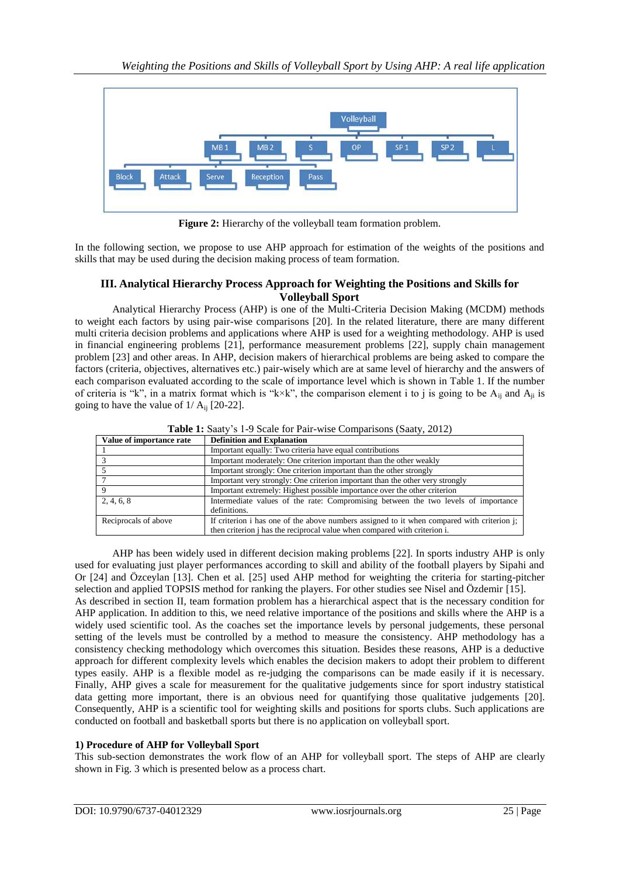

**Figure 2:** Hierarchy of the volleyball team formation problem.

In the following section, we propose to use AHP approach for estimation of the weights of the positions and skills that may be used during the decision making process of team formation.

# **III. Analytical Hierarchy Process Approach for Weighting the Positions and Skills for Volleyball Sport**

Analytical Hierarchy Process (AHP) is one of the Multi-Criteria Decision Making (MCDM) methods to weight each factors by using pair-wise comparisons [20]. In the related literature, there are many different multi criteria decision problems and applications where AHP is used for a weighting methodology. AHP is used in financial engineering problems [21], performance measurement problems [22], supply chain management problem [23] and other areas. In AHP, decision makers of hierarchical problems are being asked to compare the factors (criteria, objectives, alternatives etc.) pair-wisely which are at same level of hierarchy and the answers of each comparison evaluated according to the scale of importance level which is shown in Table 1. If the number of criteria is "k", in a matrix format which is "k×k", the comparison element i to j is going to be  $A_{ii}$  and  $A_{ii}$  is going to have the value of  $1/A_{ii}$  [20-22].

|                          | <b>Table 1:</b> Saaty s 1-9 Scale for Fall-wise Comparisons (Saaty, 2012)                  |  |  |  |  |  |  |  |  |  |
|--------------------------|--------------------------------------------------------------------------------------------|--|--|--|--|--|--|--|--|--|
| Value of importance rate | <b>Definition and Explanation</b>                                                          |  |  |  |  |  |  |  |  |  |
|                          | Important equally: Two criteria have equal contributions                                   |  |  |  |  |  |  |  |  |  |
|                          | Important moderately: One criterion important than the other weakly                        |  |  |  |  |  |  |  |  |  |
|                          | Important strongly: One criterion important than the other strongly                        |  |  |  |  |  |  |  |  |  |
|                          | Important very strongly: One criterion important than the other very strongly              |  |  |  |  |  |  |  |  |  |
|                          | Important extremely: Highest possible importance over the other criterion                  |  |  |  |  |  |  |  |  |  |
| 2, 4, 6, 8               | Intermediate values of the rate: Compromising between the two levels of importance         |  |  |  |  |  |  |  |  |  |
| definitions.             |                                                                                            |  |  |  |  |  |  |  |  |  |
| Reciprocals of above     | If criterion i has one of the above numbers assigned to it when compared with criterion i; |  |  |  |  |  |  |  |  |  |
|                          | then criterion <i>j</i> has the reciprocal value when compared with criterion <i>i</i> .   |  |  |  |  |  |  |  |  |  |

**Table 1:** Saaty's 1-9 Scale for Pair-wise Comparisons (Saaty, 2012)

AHP has been widely used in different decision making problems [22]. In sports industry AHP is only used for evaluating just player performances according to skill and ability of the football players by Sipahi and Or [24] and Özceylan [13]. Chen et al. [25] used AHP method for weighting the criteria for starting-pitcher selection and applied TOPSIS method for ranking the players. For other studies see Nisel and Özdemir [15]. As described in section II, team formation problem has a hierarchical aspect that is the necessary condition for AHP application. In addition to this, we need relative importance of the positions and skills where the AHP is a widely used scientific tool. As the coaches set the importance levels by personal judgements, these personal setting of the levels must be controlled by a method to measure the consistency. AHP methodology has a consistency checking methodology which overcomes this situation. Besides these reasons, AHP is a deductive

approach for different complexity levels which enables the decision makers to adopt their problem to different types easily. AHP is a flexible model as re-judging the comparisons can be made easily if it is necessary. Finally, AHP gives a scale for measurement for the qualitative judgements since for sport industry statistical data getting more important, there is an obvious need for quantifying those qualitative judgements [20]. Consequently, AHP is a scientific tool for weighting skills and positions for sports clubs. Such applications are conducted on football and basketball sports but there is no application on volleyball sport.

### **1) Procedure of AHP for Volleyball Sport**

This sub-section demonstrates the work flow of an AHP for volleyball sport. The steps of AHP are clearly shown in Fig. 3 which is presented below as a process chart.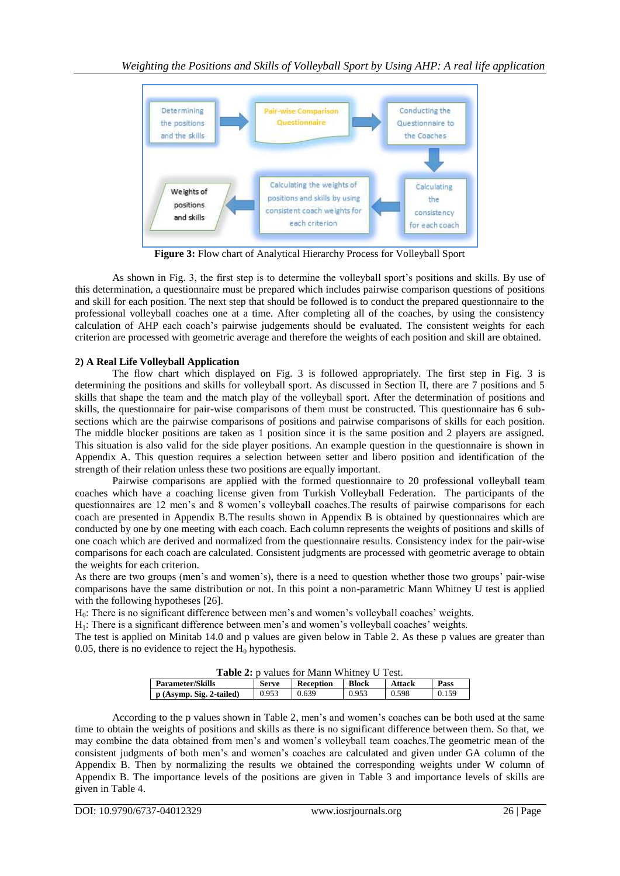

**Figure 3:** Flow chart of Analytical Hierarchy Process for Volleyball Sport

As shown in Fig. 3, the first step is to determine the volleyball sport's positions and skills. By use of this determination, a questionnaire must be prepared which includes pairwise comparison questions of positions and skill for each position. The next step that should be followed is to conduct the prepared questionnaire to the professional volleyball coaches one at a time. After completing all of the coaches, by using the consistency calculation of AHP each coach's pairwise judgements should be evaluated. The consistent weights for each criterion are processed with geometric average and therefore the weights of each position and skill are obtained.

# **2) A Real Life Volleyball Application**

The flow chart which displayed on Fig. 3 is followed appropriately. The first step in Fig. 3 is determining the positions and skills for volleyball sport. As discussed in Section II, there are 7 positions and 5 skills that shape the team and the match play of the volleyball sport. After the determination of positions and skills, the questionnaire for pair-wise comparisons of them must be constructed. This questionnaire has 6 subsections which are the pairwise comparisons of positions and pairwise comparisons of skills for each position. The middle blocker positions are taken as 1 position since it is the same position and 2 players are assigned. This situation is also valid for the side player positions. An example question in the questionnaire is shown in Appendix A. This question requires a selection between setter and libero position and identification of the strength of their relation unless these two positions are equally important.

Pairwise comparisons are applied with the formed questionnaire to 20 professional volleyball team coaches which have a coaching license given from Turkish Volleyball Federation. The participants of the questionnaires are 12 men's and 8 women's volleyball coaches.The results of pairwise comparisons for each coach are presented in Appendix B.The results shown in Appendix B is obtained by questionnaires which are conducted by one by one meeting with each coach. Each column represents the weights of positions and skills of one coach which are derived and normalized from the questionnaire results. Consistency index for the pair-wise comparisons for each coach are calculated. Consistent judgments are processed with geometric average to obtain the weights for each criterion.

As there are two groups (men's and women's), there is a need to question whether those two groups' pair-wise comparisons have the same distribution or not. In this point a non-parametric Mann Whitney U test is applied with the following hypotheses [26].

H<sub>0</sub>: There is no significant difference between men's and women's volleyball coaches' weights.

H1: There is a significant difference between men's and women's volleyball coaches' weights.

The test is applied on Minitab 14.0 and p values are given below in Table 2. As these p values are greater than 0.05, there is no evidence to reject the  $H_0$  hypothesis.

| <b>Table 2:</b> p values for Mann Whitney U Test. |       |           |       |        |       |  |  |  |  |  |  |  |
|---------------------------------------------------|-------|-----------|-------|--------|-------|--|--|--|--|--|--|--|
| <b>Parameter/Skills</b>                           | Serve | Reception | Block | Attack | Pass  |  |  |  |  |  |  |  |
| p (Asymp. Sig. 2-tailed)                          | 0.953 | 0.639     | 0.953 | 0.598  | 0.159 |  |  |  |  |  |  |  |

According to the p values shown in Table 2, men's and women's coaches can be both used at the same time to obtain the weights of positions and skills as there is no significant difference between them. So that, we may combine the data obtained from men's and women's volleyball team coaches.The geometric mean of the consistent judgments of both men's and women's coaches are calculated and given under GA column of the Appendix B. Then by normalizing the results we obtained the corresponding weights under W column of Appendix B. The importance levels of the positions are given in Table 3 and importance levels of skills are given in Table 4.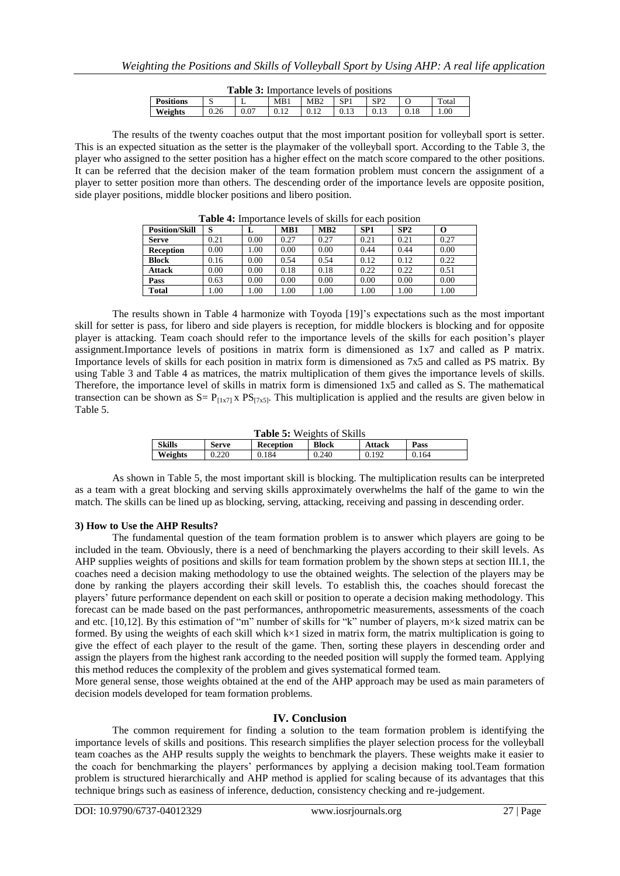| <b>Table 3:</b> Importance levels of positions |      |      |      |      |                 |                 |      |       |  |  |  |  |
|------------------------------------------------|------|------|------|------|-----------------|-----------------|------|-------|--|--|--|--|
| <b>Positions</b>                               |      |      | MB1  | MB2  | SP <sub>1</sub> | SP <sub>2</sub> |      | Total |  |  |  |  |
| Weights                                        | 0.26 | 0.07 | 0.12 | 0.12 | 0.13            | 0.13            | 0.18 | 00    |  |  |  |  |

The results of the twenty coaches output that the most important position for volleyball sport is setter. This is an expected situation as the setter is the playmaker of the volleyball sport. According to the Table 3, the player who assigned to the setter position has a higher effect on the match score compared to the other positions. It can be referred that the decision maker of the team formation problem must concern the assignment of a player to setter position more than others. The descending order of the importance levels are opposite position, side player positions, middle blocker positions and libero position.

| <b>Position/Skill</b> | S    | ≖    | MB1  | MB2      | SP <sub>1</sub> | SP2  | O    |
|-----------------------|------|------|------|----------|-----------------|------|------|
| <b>Serve</b>          | 0.21 | 0.00 | 0.27 | 0.27     | 0.21            | 0.21 | 0.27 |
| <b>Reception</b>      | 0.00 | 1.00 | 0.00 | 0.00     | 0.44            | 0.44 | 0.00 |
| <b>Block</b>          | 0.16 | 0.00 | 0.54 | 0.54     | 0.12            | 0.12 | 0.22 |
| <b>Attack</b>         | 0.00 | 0.00 | 0.18 | 0.18     | 0.22            | 0.22 | 0.51 |
| Pass                  | 0.63 | 0.00 | 0.00 | $0.00\,$ | 0.00            | 0.00 | 0.00 |
| <b>Total</b>          | .00  | .00. | .00  | 1.00     | 00.1            | .00  | 1.00 |

**Table 4:** Importance levels of skills for each position

The results shown in Table 4 harmonize with Toyoda [19]'s expectations such as the most important skill for setter is pass, for libero and side players is reception, for middle blockers is blocking and for opposite player is attacking. Team coach should refer to the importance levels of the skills for each position's player assignment.Importance levels of positions in matrix form is dimensioned as 1x7 and called as P matrix. Importance levels of skills for each position in matrix form is dimensioned as 7x5 and called as PS matrix. By using Table 3 and Table 4 as matrices, the matrix multiplication of them gives the importance levels of skills. Therefore, the importance level of skills in matrix form is dimensioned 1x5 and called as S. The mathematical transection can be shown as  $S = P_{[1x7]}$  x  $PS_{[7x5]}$ . This multiplication is applied and the results are given below in Table 5.

**Table 5:** Weights of Skills

| <b>Table 5:</b> Weights of Skills |                                             |  |       |        |       |  |  |  |  |  |  |
|-----------------------------------|---------------------------------------------|--|-------|--------|-------|--|--|--|--|--|--|
| Skills                            | <b>Reception</b><br>Serve<br>0.220<br>0.184 |  | Block | Attack | Pass  |  |  |  |  |  |  |
| Weights                           |                                             |  | 0.240 | 0.192  | 0.164 |  |  |  |  |  |  |
|                                   |                                             |  |       |        |       |  |  |  |  |  |  |

As shown in Table 5, the most important skill is blocking. The multiplication results can be interpreted as a team with a great blocking and serving skills approximately overwhelms the half of the game to win the match. The skills can be lined up as blocking, serving, attacking, receiving and passing in descending order.

### **3) How to Use the AHP Results?**

The fundamental question of the team formation problem is to answer which players are going to be included in the team. Obviously, there is a need of benchmarking the players according to their skill levels. As AHP supplies weights of positions and skills for team formation problem by the shown steps at section III.1, the coaches need a decision making methodology to use the obtained weights. The selection of the players may be done by ranking the players according their skill levels. To establish this, the coaches should forecast the players' future performance dependent on each skill or position to operate a decision making methodology. This forecast can be made based on the past performances, anthropometric measurements, assessments of the coach and etc. [10,12]. By this estimation of "m" number of skills for "k" number of players, m×k sized matrix can be formed. By using the weights of each skill which  $k \times 1$  sized in matrix form, the matrix multiplication is going to give the effect of each player to the result of the game. Then, sorting these players in descending order and assign the players from the highest rank according to the needed position will supply the formed team. Applying this method reduces the complexity of the problem and gives systematical formed team.

More general sense, those weights obtained at the end of the AHP approach may be used as main parameters of decision models developed for team formation problems.

### **IV. Conclusion**

The common requirement for finding a solution to the team formation problem is identifying the importance levels of skills and positions. This research simplifies the player selection process for the volleyball team coaches as the AHP results supply the weights to benchmark the players. These weights make it easier to the coach for benchmarking the players' performances by applying a decision making tool.Team formation problem is structured hierarchically and AHP method is applied for scaling because of its advantages that this technique brings such as easiness of inference, deduction, consistency checking and re-judgement.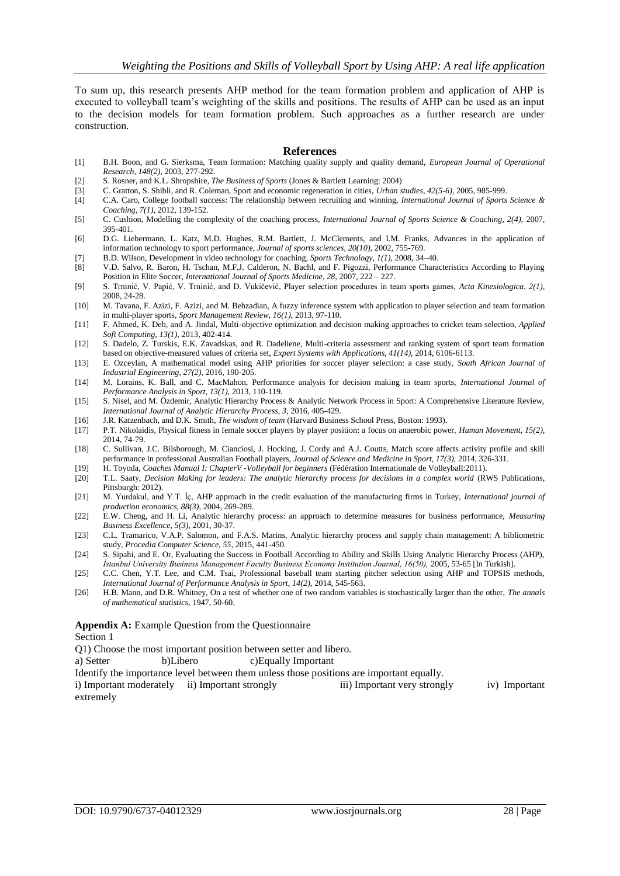To sum up, this research presents AHP method for the team formation problem and application of AHP is executed to volleyball team's weighting of the skills and positions. The results of AHP can be used as an input to the decision models for team formation problem. Such approaches as a further research are under construction.

### **References**

- [1] B.H. Boon, and G. Sierksma, Team formation: Matching quality supply and quality demand, *European Journal of Operational Research, 148(2),* 2003, 277-292.
- [2] S. Rosner, and K.L. Shropshire, *The Business of Sports* (Jones & Bartlett Learning: 2004)
- [3] C. Gratton, S. Shibli, and R. Coleman, Sport and economic regeneration in cities, *Urban studies, 42(5-6),* 2005, 985-999.
- [4] C.A. Caro, College football success: The relationship between recruiting and winning, *International Journal of Sports Science & Coaching, 7(1),* 2012, 139-152.
- [5] C. Cushion, Modelling the complexity of the coaching process, *International Journal of Sports Science & Coaching, 2(4),* 2007, 395-401.
- [6] D.G. Liebermann, L. Katz, M.D. Hughes, R.M. Bartlett, J. McClements, and I.M. Franks, Advances in the application of information technology to sport performance, *Journal of sports sciences, 20(10),* 2002, 755-769.
- [7] B.D. Wilson, Development in video technology for coaching, *Sports Technology, 1(1),* 2008, 34–40.
- [8] V.D. Salvo, R. Baron, H. Tschan, M.F.J. Calderon, N. Bachl, and F. Pigozzi, Performance Characteristics According to Playing Position in Elite Soccer, *International Journal of Sports Medicine, 28,* 2007, 222 – 227.
- [9] S. Trninić, V. Papić, V. Trninić, and D. Vukičević, Player selection procedures in team sports games, *Acta Kinesiologica, 2(1),* 2008, 24-28.
- [10] M. Tavana, F. Azizi, F. Azizi, and M. Behzadian, A fuzzy inference system with application to player selection and team formation in multi-player sports, *Sport Management Review, 16(1),* 2013, 97-110.
- [11] F. Ahmed, K. Deb, and A. Jindal, Multi-objective optimization and decision making approaches to cricket team selection, *Applied Soft Computing, 13(1),* 2013, 402-414.
- [12] S. Dadelo, Z. Turskis, E.K. Zavadskas, and R. Dadeliene, Multi-criteria assessment and ranking system of sport team formation based on objective-measured values of criteria set, *Expert Systems with Applications, 41(14),* 2014, 6106-6113.
- [13] E. Ozceylan, A mathematical model using AHP priorities for soccer player selection: a case study, *South African Journal of Industrial Engineering, 27(2),* 2016, 190-205.
- [14] M. Lorains, K. Ball, and C. MacMahon, Performance analysis for decision making in team sports, *International Journal of Performance Analysis in Sport, 13(1),* 2013, 110-119.
- [15] S. Nisel, and M. Özdemir, Analytic Hierarchy Process & Analytic Network Process in Sport: A Comprehensive Literature Review, *International Journal of Analytic Hierarchy Process, 3*, 2016, 405-429.
- [16] J.R. Katzenbach, and D.K. Smith, *The wisdom of team* (Harvard Business School Press, Boston: 1993).
- [17] P.T. Nikolaidis, Physical fitness in female soccer players by player position: a focus on anaerobic power, *Human Movement, 15(2),* 2014, 74-79.
- [18] C. Sullivan, J.C. Bilsborough, M. Cianciosi, J. Hocking, J. Cordy and A.J. Coutts, Match score affects activity profile and skill performance in professional Australian Football players, *Journal of Science and Medicine in Sport, 17(3),* 2014, 326-331.
- [19] H. Toyoda, *Coaches Manual I: ChapterV -Volleyball for beginners* (Fédération Internationale de Volleyball:2011).
- [20] T.L. Saaty, *Decision Making for leaders: The analytic hierarchy process for decisions in a complex world* (RWS Publications, Pittsburgh: 2012).
- [21] M. Yurdakul, and Y.T. İç, AHP approach in the credit evaluation of the manufacturing firms in Turkey, *International journal of production economics, 88(3),* 2004, 269-289.
- [22] E.W. Cheng, and H. Li, Analytic hierarchy process: an approach to determine measures for business performance, *Measuring Business Excellence, 5(3),* 2001, 30-37.
- [23] C.L. Tramarico, V.A.P. Salomon, and F.A.S. Marins, Analytic hierarchy process and supply chain management: A bibliometric study, *Procedia Computer Science, 55,* 2015, 441-450.
- [24] S. Sipahi, and E. Or, Evaluating the Success in Football According to Ability and Skills Using Analytic Hierarchy Process (AHP), *İstanbul University Business Management Faculty Business Economy Institution Journal, 16(50),* 2005, 53-65 [In Turkish].
- [25] C.C. Chen, Y.T. Lee, and C.M. Tsai, Professional baseball team starting pitcher selection using AHP and TOPSIS methods, *International Journal of Performance Analysis in Sport, 14(2),* 2014, 545-563.
- [26] H.B. Mann, and D.R. Whitney, On a test of whether one of two random variables is stochastically larger than the other, *The annals of mathematical statistics*, 1947, 50-60.

#### **Appendix A:** Example Question from the Questionnaire

Section 1

- Q1) Choose the most important position between setter and libero.
- a) Setter b)Libero c)Equally Important
- Identify the importance level between them unless those positions are important equally.

i) Important moderately ii) Important strongly iii) Important very strongly iv) Important extremely